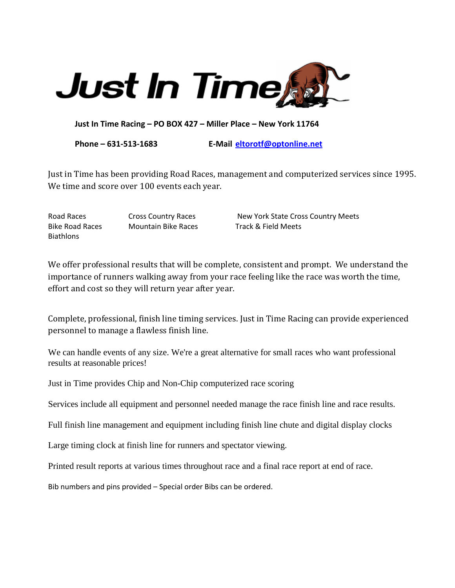

**Just In Time Racing – PO BOX 427 – Miller Place – New York 11764**

**Phone – 631-513-1683 E-Mail [eltorotf@optonline.net](mailto:eltorotf@optonline.net)**

Just in Time has been providing Road Races, management and computerized services since 1995. We time and score over 100 events each year.

**Biathlons** 

Bike Road Races Mountain Bike Races Track & Field Meets

Road Races **Cross Country Races** New York State Cross Country Meets

We offer professional results that will be complete, consistent and prompt. We understand the importance of runners walking away from your race feeling like the race was worth the time, effort and cost so they will return year after year.

Complete, professional, finish line timing services. Just in Time Racing can provide experienced personnel to manage a flawless finish line.

We can handle events of any size. We're a great alternative for small races who want professional results at reasonable prices!

Just in Time provides Chip and Non-Chip computerized race scoring

Services include all equipment and personnel needed manage the race finish line and race results.

Full finish line management and equipment including finish line chute and digital display clocks

Large timing clock at finish line for runners and spectator viewing.

Printed result reports at various times throughout race and a final race report at end of race.

Bib numbers and pins provided – Special order Bibs can be ordered.